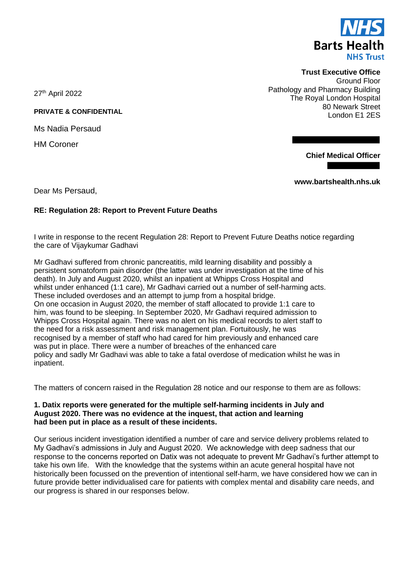

**Trust Executive Office** Ground Floor Pathology and Pharmacy Building The Royal London Hospital **PRIVATE & CONFIDENTIAL** 80 Newark Street London E1 2ES

**Chief Medical Officer**

**www.bartshealth.nhs.uk**

27th April 2022

Ms Nadia Persaud

HM Coroner

Dear Ms Persaud,

# **RE: Regulation 28: Report to Prevent Future Deaths**

I write in response to the recent Regulation 28: Report to Prevent Future Deaths notice regarding the care of Vijaykumar Gadhavi

Mr Gadhavi suffered from chronic pancreatitis, mild learning disability and possibly a persistent somatoform pain disorder (the latter was under investigation at the time of his death). In July and August 2020, whilst an inpatient at Whipps Cross Hospital and whilst under enhanced (1:1 care), Mr Gadhavi carried out a number of self-harming acts. These included overdoses and an attempt to jump from a hospital bridge. On one occasion in August 2020, the member of staff allocated to provide 1:1 care to him, was found to be sleeping. In September 2020, Mr Gadhavi required admission to Whipps Cross Hospital again. There was no alert on his medical records to alert staff to the need for a risk assessment and risk management plan. Fortuitously, he was recognised by a member of staff who had cared for him previously and enhanced care was put in place. There were a number of breaches of the enhanced care policy and sadly Mr Gadhavi was able to take a fatal overdose of medication whilst he was in inpatient.

The matters of concern raised in the Regulation 28 notice and our response to them are as follows:

### **1. Datix reports were generated for the multiple self-harming incidents in July and August 2020. There was no evidence at the inquest, that action and learning had been put in place as a result of these incidents.**

Our serious incident investigation identified a number of care and service delivery problems related to My Gadhavi's admissions in July and August 2020. We acknowledge with deep sadness that our response to the concerns reported on Datix was not adequate to prevent Mr Gadhavi's further attempt to take his own life. With the knowledge that the systems within an acute general hospital have not historically been focussed on the prevention of intentional self-harm, we have considered how we can in future provide better individualised care for patients with complex mental and disability care needs, and our progress is shared in our responses below.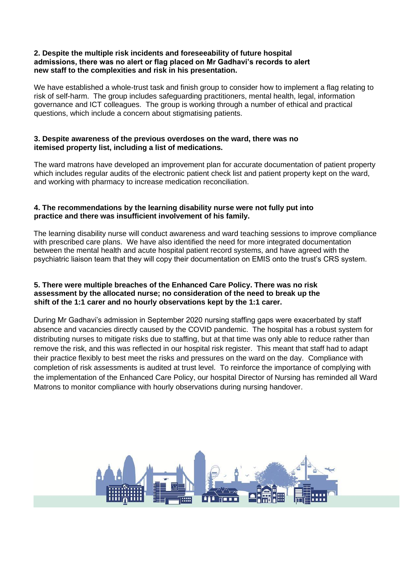### **2. Despite the multiple risk incidents and foreseeability of future hospital admissions, there was no alert or flag placed on Mr Gadhavi's records to alert new staff to the complexities and risk in his presentation.**

We have established a whole-trust task and finish group to consider how to implement a flag relating to risk of self-harm. The group includes safeguarding practitioners, mental health, legal, information governance and ICT colleagues. The group is working through a number of ethical and practical questions, which include a concern about stigmatising patients.

# **3. Despite awareness of the previous overdoses on the ward, there was no itemised property list, including a list of medications.**

The ward matrons have developed an improvement plan for accurate documentation of patient property which includes regular audits of the electronic patient check list and patient property kept on the ward, and working with pharmacy to increase medication reconciliation.

## **4. The recommendations by the learning disability nurse were not fully put into practice and there was insufficient involvement of his family.**

The learning disability nurse will conduct awareness and ward teaching sessions to improve compliance with prescribed care plans. We have also identified the need for more integrated documentation between the mental health and acute hospital patient record systems, and have agreed with the psychiatric liaison team that they will copy their documentation on EMIS onto the trust's CRS system.

## **5. There were multiple breaches of the Enhanced Care Policy. There was no risk assessment by the allocated nurse; no consideration of the need to break up the shift of the 1:1 carer and no hourly observations kept by the 1:1 carer.**

During Mr Gadhavi's admission in September 2020 nursing staffing gaps were exacerbated by staff absence and vacancies directly caused by the COVID pandemic. The hospital has a robust system for distributing nurses to mitigate risks due to staffing, but at that time was only able to reduce rather than remove the risk, and this was reflected in our hospital risk register. This meant that staff had to adapt their practice flexibly to best meet the risks and pressures on the ward on the day. Compliance with completion of risk assessments is audited at trust level. To reinforce the importance of complying with the implementation of the Enhanced Care Policy, our hospital Director of Nursing has reminded all Ward Matrons to monitor compliance with hourly observations during nursing handover.